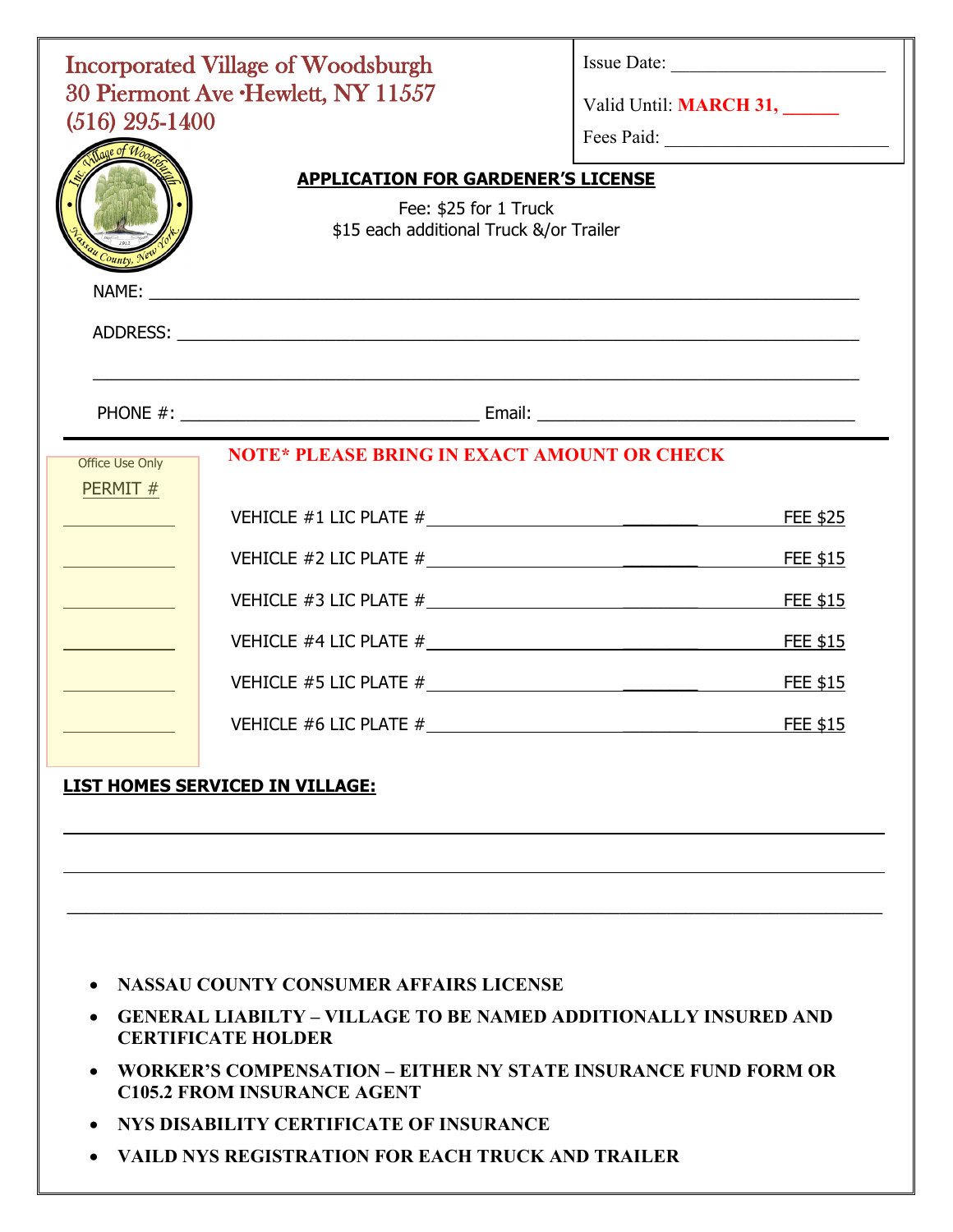| $(516)$ 295-1400<br>County.       | <b>Incorporated Village of Woodsburgh</b><br>30 Piermont Ave .Hewlett, NY 11557<br><b>APPLICATION FOR GARDENER'S LICENSE</b><br>Fee: \$25 for 1 Truck<br>\$15 each additional Truck &/or Trailer                               | Valid Until: <b>MARCH 31,</b><br>Fees Paid: |
|-----------------------------------|--------------------------------------------------------------------------------------------------------------------------------------------------------------------------------------------------------------------------------|---------------------------------------------|
|                                   |                                                                                                                                                                                                                                |                                             |
| <b>Office Use Only</b><br>PERMIT# | <b>NOTE* PLEASE BRING IN EXACT AMOUNT OR CHECK</b>                                                                                                                                                                             |                                             |
|                                   |                                                                                                                                                                                                                                | FEE \$25                                    |
|                                   |                                                                                                                                                                                                                                |                                             |
|                                   |                                                                                                                                                                                                                                |                                             |
|                                   |                                                                                                                                                                                                                                |                                             |
|                                   |                                                                                                                                                                                                                                |                                             |
|                                   | VEHICLE #6 LIC PLATE # SALE TO A LIC PLATE # SALE TO A LIC PLATE # SALE TO A LIC PLATE # SALE TO A LIC PLATE # SALE TO A LIC PLATE # SALE TO A LIC PLATE # SALE TO A LIC PLATE # SALE TO A LIC PLATE # SALE TO A LIC PLATE # S |                                             |

## **LIST HOMES SERVICED IN VILLAGE:**

- **NASSAU COUNTY CONSUMER AFFAIRS LICENSE**
- **GENERAL LIABILTY VILLAGE TO BE NAMED ADDITIONALLY INSURED AND CERTIFICATE HOLDER**

 $\_$ 

- **WORKER'S COMPENSATION EITHER NY STATE INSURANCE FUND FORM OR C105.2 FROM INSURANCE AGENT**
- **NYS DISABILITY CERTIFICATE OF INSURANCE**
- **VAILD NYS REGISTRATION FOR EACH TRUCK AND TRAILER**